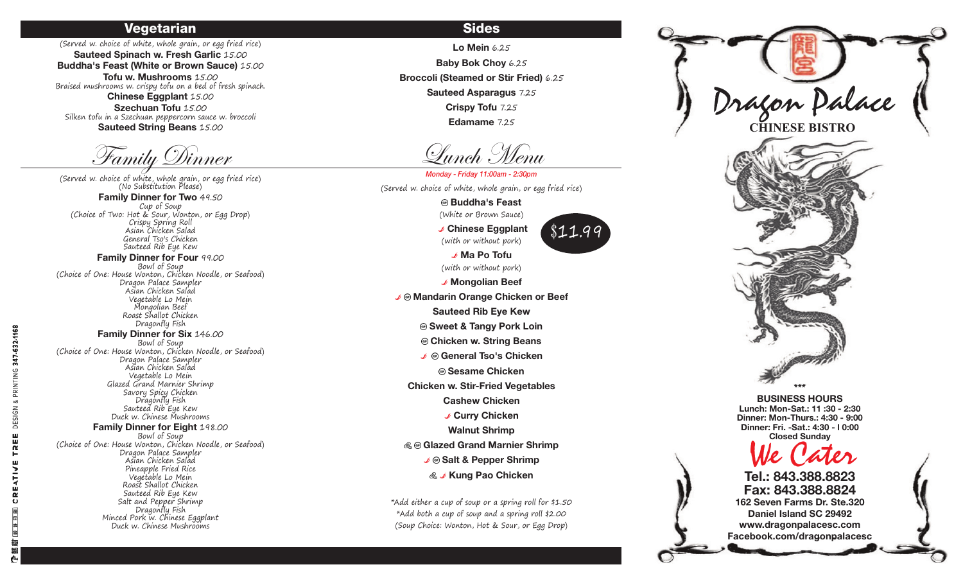### **Vegetarian**

(Served w. choice of white, whole grain, or egg fried rice) Sauteed Spinach w. Fresh Garlic 15.00 Buddha's Feast (White or Brown Sauce) 15.00 Tofu w. Mushrooms 15.00 Braised mushrooms w. crispy tofu on a bed of fresh spinach. Chinese Eggplant 15.00 Szechuan Tofu 15.00 Silken tofu in a Szechuan peppercorn sauce w. broccoli

**Sauteed String Beans 15.00** 

Family Dinner

(Served w. choice of white, whole grain, or egg fried rice)<br>(No Substitution Please) Family Dinner for Two 49.50 Cup of Soup (Choice of Two: Hot & Sour, Wonton, or Egg Drop)

Crispy Spring Roll Asian Chicken Salad General Tso's Chicken Sauteed Rib Eye Kew

Family Dinner for Four 99.00 Bowl of Soup (Choice of One: House Wonton, Chicken Noodle, or Seafood) Dragon Palace Sampler Asian Chicken Salad Vegetable Lo Mein Mongolian Beef Roast Shallot Chicken Dragonfly Fish

**Family Dinner for Six 146.00** Bowl of Soup (Choice of One: House Wonton, Chicken Noodle, or Seafood) Dragon Palace Sampler Asian Chicken Salad Vegetable Lo Mein Glazed Grand Marnier Shrimp Savory Spicy Chicken Dragonfly Fish Sauteed Rib Eye Kew Duck w. Chinese Mushrooms

#### Family Dinner for Eight 198.00

Bowl of Soup (Choice of One: House Wonton, Chicken Noodle, or Seafood) Dragon Palace Sampler Asian Chicken Salad Pineapple Fried Rice Vegetable Lo Mein Roast Shallot Chicken Sauteed Rib Eye Kew Salt and Pepper Shrimp Dragonfly Fish Minced Pork w. Chinese Eggplant Duck w. Chinese Mushrooms

# **Sides**

Lo Mein 6.25 **Baby Bok Choy 6.25 Broccoli (Steamed or Stir Fried) 6.25** Sauteed Asparagus 7.25 Crispy Tofu 7.25 Edamame 7.25

Lunch . Wenn

Monday - Friday 11:00am - 2:30pm (Served w. choice of white, whole grain, or egg fried rice)

> **® Buddha's Feast** (White or Brown Sauce)

> > $$11.90$

✔ Chinese Eggplant (with or without pork)

✔ Ma Po Tofu (with or without pork)

✔ Mongolian Beef ✔ ® Mandarin Orange Chicken or Beef **Sauteed Rib Eye Kew ® Sweet & Tangy Pork Loin** © Chicken w. String Beans ↓ © General Tso's Chicken **@ Sesame Chicken Chicken w. Stir-Fried Vegetables Cashew Chicken** ✔ Curry Chicken **Walnut Shrimp** ⊗ © Glazed Grand Marnier Shrimp **& J Kung Pao Chicken** 

\*Add either a cup of soup or a spring roll for \$1.50 \*Add both a cup of soup and a spring roll \$2.00 (Soup Choice: Wonton, Hot & Sour, or Egg Drop)



Dinner: Fri. - Sat.: 4:30 - 10:00 **Closed Sunday** 

Tel.: 843.388.8823 Fax: 843.388.8824 162 Seven Farms Dr. Ste.320 Daniel Island SC 29492 www.dragonpalacesc.com Facebook.com/dragonpalacesc